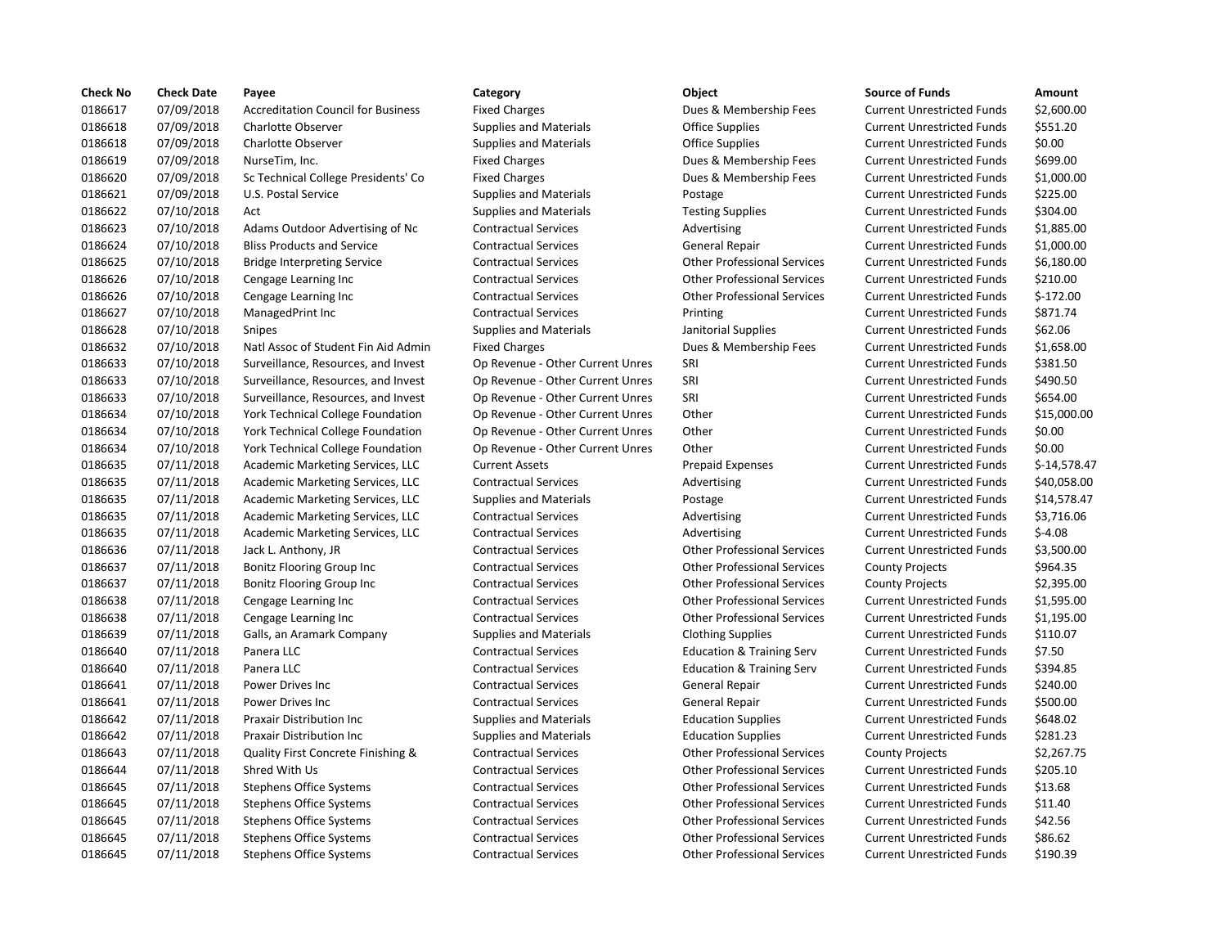| <b>Check No</b> | <b>Check Date</b> | Payee                                     | Category                         | Object                               | <b>Source of Funds</b>            | Amount       |
|-----------------|-------------------|-------------------------------------------|----------------------------------|--------------------------------------|-----------------------------------|--------------|
| 0186617         | 07/09/2018        | <b>Accreditation Council for Business</b> | <b>Fixed Charges</b>             | Dues & Membership Fees               | <b>Current Unrestricted Funds</b> | \$2,600.00   |
| 0186618         | 07/09/2018        | <b>Charlotte Observer</b>                 | <b>Supplies and Materials</b>    | <b>Office Supplies</b>               | <b>Current Unrestricted Funds</b> | \$551.20     |
| 0186618         | 07/09/2018        | <b>Charlotte Observer</b>                 | <b>Supplies and Materials</b>    | <b>Office Supplies</b>               | <b>Current Unrestricted Funds</b> | \$0.00       |
| 0186619         | 07/09/2018        | NurseTim, Inc.                            | <b>Fixed Charges</b>             | Dues & Membership Fees               | <b>Current Unrestricted Funds</b> | \$699.00     |
| 0186620         | 07/09/2018        | Sc Technical College Presidents' Co       | <b>Fixed Charges</b>             | Dues & Membership Fees               | <b>Current Unrestricted Funds</b> | \$1,000.00   |
| 0186621         | 07/09/2018        | U.S. Postal Service                       | <b>Supplies and Materials</b>    | Postage                              | <b>Current Unrestricted Funds</b> | \$225.00     |
| 0186622         | 07/10/2018        | Act                                       | <b>Supplies and Materials</b>    | <b>Testing Supplies</b>              | <b>Current Unrestricted Funds</b> | \$304.00     |
| 0186623         | 07/10/2018        | Adams Outdoor Advertising of Nc           | <b>Contractual Services</b>      | Advertising                          | <b>Current Unrestricted Funds</b> | \$1.885.00   |
| 0186624         | 07/10/2018        | <b>Bliss Products and Service</b>         | <b>Contractual Services</b>      | General Repair                       | <b>Current Unrestricted Funds</b> | \$1,000.00   |
| 0186625         | 07/10/2018        | <b>Bridge Interpreting Service</b>        | <b>Contractual Services</b>      | <b>Other Professional Services</b>   | <b>Current Unrestricted Funds</b> | \$6,180.00   |
| 0186626         | 07/10/2018        | Cengage Learning Inc                      | <b>Contractual Services</b>      | <b>Other Professional Services</b>   | <b>Current Unrestricted Funds</b> | \$210.00     |
| 0186626         | 07/10/2018        | Cengage Learning Inc                      | <b>Contractual Services</b>      | <b>Other Professional Services</b>   | <b>Current Unrestricted Funds</b> | $$-172.00$   |
| 0186627         | 07/10/2018        | ManagedPrint Inc                          | <b>Contractual Services</b>      | Printing                             | <b>Current Unrestricted Funds</b> | \$871.74     |
| 0186628         | 07/10/2018        | Snipes                                    | <b>Supplies and Materials</b>    | Janitorial Supplies                  | <b>Current Unrestricted Funds</b> | \$62.06      |
| 0186632         | 07/10/2018        | Natl Assoc of Student Fin Aid Admin       | <b>Fixed Charges</b>             | Dues & Membership Fees               | <b>Current Unrestricted Funds</b> | \$1,658.00   |
| 0186633         | 07/10/2018        | Surveillance, Resources, and Invest       | Op Revenue - Other Current Unres | SRI                                  | <b>Current Unrestricted Funds</b> | \$381.50     |
| 0186633         | 07/10/2018        | Surveillance, Resources, and Invest       | Op Revenue - Other Current Unres | SRI                                  | <b>Current Unrestricted Funds</b> | \$490.50     |
| 0186633         | 07/10/2018        | Surveillance, Resources, and Invest       | Op Revenue - Other Current Unres | SRI                                  | <b>Current Unrestricted Funds</b> | \$654.00     |
| 0186634         | 07/10/2018        | York Technical College Foundation         | Op Revenue - Other Current Unres | Other                                | <b>Current Unrestricted Funds</b> | \$15,000.00  |
| 0186634         | 07/10/2018        | York Technical College Foundation         | Op Revenue - Other Current Unres | Other                                | <b>Current Unrestricted Funds</b> | \$0.00       |
| 0186634         | 07/10/2018        | York Technical College Foundation         | Op Revenue - Other Current Unres | Other                                | <b>Current Unrestricted Funds</b> | \$0.00       |
| 0186635         | 07/11/2018        | Academic Marketing Services, LLC          | <b>Current Assets</b>            | <b>Prepaid Expenses</b>              | <b>Current Unrestricted Funds</b> | \$-14,578.47 |
| 0186635         | 07/11/2018        | Academic Marketing Services, LLC          | <b>Contractual Services</b>      | Advertising                          | <b>Current Unrestricted Funds</b> | \$40,058.00  |
| 0186635         | 07/11/2018        | Academic Marketing Services, LLC          | <b>Supplies and Materials</b>    | Postage                              | <b>Current Unrestricted Funds</b> | \$14,578.47  |
| 0186635         | 07/11/2018        | Academic Marketing Services, LLC          | <b>Contractual Services</b>      | Advertising                          | <b>Current Unrestricted Funds</b> | \$3,716.06   |
| 0186635         | 07/11/2018        | Academic Marketing Services, LLC          | <b>Contractual Services</b>      | Advertising                          | <b>Current Unrestricted Funds</b> | $$-4.08$     |
| 0186636         | 07/11/2018        | Jack L. Anthony, JR                       | <b>Contractual Services</b>      | <b>Other Professional Services</b>   | <b>Current Unrestricted Funds</b> | \$3,500.00   |
| 0186637         | 07/11/2018        | <b>Bonitz Flooring Group Inc</b>          | <b>Contractual Services</b>      | <b>Other Professional Services</b>   | <b>County Projects</b>            | \$964.35     |
| 0186637         | 07/11/2018        | Bonitz Flooring Group Inc                 | <b>Contractual Services</b>      | <b>Other Professional Services</b>   | <b>County Projects</b>            | \$2,395.00   |
| 0186638         | 07/11/2018        | Cengage Learning Inc                      | <b>Contractual Services</b>      | <b>Other Professional Services</b>   | <b>Current Unrestricted Funds</b> | \$1,595.00   |
| 0186638         | 07/11/2018        | Cengage Learning Inc                      | <b>Contractual Services</b>      | <b>Other Professional Services</b>   | <b>Current Unrestricted Funds</b> | \$1,195.00   |
| 0186639         | 07/11/2018        | Galls, an Aramark Company                 | <b>Supplies and Materials</b>    | <b>Clothing Supplies</b>             | <b>Current Unrestricted Funds</b> | \$110.07     |
| 0186640         | 07/11/2018        | Panera LLC                                | <b>Contractual Services</b>      | <b>Education &amp; Training Serv</b> | <b>Current Unrestricted Funds</b> | \$7.50       |
| 0186640         | 07/11/2018        | Panera LLC                                | <b>Contractual Services</b>      | <b>Education &amp; Training Serv</b> | <b>Current Unrestricted Funds</b> | \$394.85     |
| 0186641         | 07/11/2018        | Power Drives Inc                          | <b>Contractual Services</b>      | General Repair                       | <b>Current Unrestricted Funds</b> | \$240.00     |
| 0186641         | 07/11/2018        | <b>Power Drives Inc.</b>                  | <b>Contractual Services</b>      | <b>General Repair</b>                | <b>Current Unrestricted Funds</b> | \$500.00     |
| 0186642         | 07/11/2018        | Praxair Distribution Inc                  | <b>Supplies and Materials</b>    | <b>Education Supplies</b>            | <b>Current Unrestricted Funds</b> | \$648.02     |
| 0186642         | 07/11/2018        | Praxair Distribution Inc                  | <b>Supplies and Materials</b>    | <b>Education Supplies</b>            | <b>Current Unrestricted Funds</b> | \$281.23     |
| 0186643         | 07/11/2018        | Quality First Concrete Finishing &        | <b>Contractual Services</b>      | <b>Other Professional Services</b>   | <b>County Projects</b>            | \$2,267.75   |
| 0186644         | 07/11/2018        | Shred With Us                             | <b>Contractual Services</b>      | <b>Other Professional Services</b>   | <b>Current Unrestricted Funds</b> | \$205.10     |
| 0186645         | 07/11/2018        | <b>Stephens Office Systems</b>            | <b>Contractual Services</b>      | <b>Other Professional Services</b>   | <b>Current Unrestricted Funds</b> | \$13.68      |
| 0186645         | 07/11/2018        | <b>Stephens Office Systems</b>            | <b>Contractual Services</b>      | <b>Other Professional Services</b>   | <b>Current Unrestricted Funds</b> | \$11.40      |
| 0186645         | 07/11/2018        | <b>Stephens Office Systems</b>            | <b>Contractual Services</b>      | <b>Other Professional Services</b>   | <b>Current Unrestricted Funds</b> | \$42.56      |
| 0186645         | 07/11/2018        | <b>Stephens Office Systems</b>            | <b>Contractual Services</b>      | <b>Other Professional Services</b>   | <b>Current Unrestricted Funds</b> | \$86.62      |
| 0186645         | 07/11/2018        | <b>Stephens Office Systems</b>            | <b>Contractual Services</b>      | <b>Other Professional Services</b>   | <b>Current Unrestricted Funds</b> | \$190.39     |

# Fixed Charges **Accreditation Council For Business Exercise Fees** Dues & Membership Fees Supplies and Materials **Carries Constructed Constructed Funds Supplies** Cupplies Supplies and Materials **Carries Contracts** Current Supplies Current United Supplies Fixed Charges **Numbership Fees** Dues & Membership Fees Fixed Charges **College Presidents** Current College Press, Current United Funds & Membership Fees Supplies and Materials **E.S. Postage** Postage Supplies and Materials **Testing Supplies** Contractual Services **Contractual Services** Contractual Services Contractual Services **Contractual Services** Contractual Services Contractual Services **Contractual Services** Contractual Services Supplies and Materials **Supplies and Materials Janitorial Supplies** Fixed Charges **National Accord Finance Charges** Dues & Membership Fees Op Revenue - Other Current Unres SRI Op Revenue - Other Current Unres SRI Op Revenue - Other Current Unres SRI Op Revenue - Other Current Unres Other Op Revenue - Other Current Unres Other Contractual Services **Contractual Services** Contractual Services Contractual Services **Contractual Services** Contractual Services Contractual Services **Contractual Services** Contractual Services Contractual Services **Contractual Services** Contractual Services Supplies and Materials **Clothing Supplies** Contractual Services **Education & Training Services** Education & Training Serv Contractual Services **Education & Training Services** Education & Training Serv Supplies and Materials **Education Supplies Education Supplies** Supplies and Materials **Education Supplies Education Supplies** Contractual Services **Contractual Services** Contractual Services Contractual Services **Shreed With Us Contractual Services** Other Professional Services Contractual Services **Stephens Contractual Services** Contractual Services Contractual Services **Superint Contractual Services** Other Professional Services Contractual Services **Superint Contractual Services** Contractual Services Contractual Services **Superint Contractual Services** Other Professional Services 0186645 07/11/2018 Stephens Office Systems Contractual Services Other Professional Services Current Unrestricted Funds \$190.39

| Category                         | Object                               | <b>Source of Funds</b>            | Amount       |
|----------------------------------|--------------------------------------|-----------------------------------|--------------|
| <b>Fixed Charges</b>             | Dues & Membership Fees               | <b>Current Unrestricted Funds</b> | \$2,600.00   |
| <b>Supplies and Materials</b>    | <b>Office Supplies</b>               | <b>Current Unrestricted Funds</b> | \$551.20     |
| <b>Supplies and Materials</b>    | <b>Office Supplies</b>               | <b>Current Unrestricted Funds</b> | \$0.00       |
| <b>Fixed Charges</b>             | Dues & Membership Fees               | <b>Current Unrestricted Funds</b> | \$699.00     |
| <b>Fixed Charges</b>             | Dues & Membership Fees               | <b>Current Unrestricted Funds</b> | \$1,000.00   |
| <b>Supplies and Materials</b>    | Postage                              | <b>Current Unrestricted Funds</b> | \$225.00     |
| <b>Supplies and Materials</b>    | <b>Testing Supplies</b>              | <b>Current Unrestricted Funds</b> | \$304.00     |
| <b>Contractual Services</b>      | Advertising                          | <b>Current Unrestricted Funds</b> | \$1,885.00   |
| <b>Contractual Services</b>      | General Repair                       | <b>Current Unrestricted Funds</b> | \$1,000.00   |
| <b>Contractual Services</b>      | <b>Other Professional Services</b>   | <b>Current Unrestricted Funds</b> | \$6,180.00   |
| <b>Contractual Services</b>      | <b>Other Professional Services</b>   | <b>Current Unrestricted Funds</b> | \$210.00     |
| <b>Contractual Services</b>      | <b>Other Professional Services</b>   | <b>Current Unrestricted Funds</b> | $$-172.00$   |
| <b>Contractual Services</b>      | Printing                             | <b>Current Unrestricted Funds</b> | \$871.74     |
| <b>Supplies and Materials</b>    | Janitorial Supplies                  | <b>Current Unrestricted Funds</b> | \$62.06      |
| <b>Fixed Charges</b>             | Dues & Membership Fees               | <b>Current Unrestricted Funds</b> | \$1,658.00   |
| Op Revenue - Other Current Unres | SRI                                  | <b>Current Unrestricted Funds</b> | \$381.50     |
| Op Revenue - Other Current Unres | SRI                                  | <b>Current Unrestricted Funds</b> | \$490.50     |
| Op Revenue - Other Current Unres | SRI                                  | <b>Current Unrestricted Funds</b> | \$654.00     |
| Op Revenue - Other Current Unres | Other                                | <b>Current Unrestricted Funds</b> | \$15,000.00  |
| Op Revenue - Other Current Unres | Other                                | <b>Current Unrestricted Funds</b> | \$0.00       |
| Op Revenue - Other Current Unres | Other                                | <b>Current Unrestricted Funds</b> | \$0.00       |
| <b>Current Assets</b>            | <b>Prepaid Expenses</b>              | <b>Current Unrestricted Funds</b> | \$-14,578.47 |
| <b>Contractual Services</b>      | Advertising                          | <b>Current Unrestricted Funds</b> | \$40,058.00  |
| <b>Supplies and Materials</b>    | Postage                              | <b>Current Unrestricted Funds</b> | \$14,578.47  |
| <b>Contractual Services</b>      | Advertising                          | <b>Current Unrestricted Funds</b> | \$3,716.06   |
| <b>Contractual Services</b>      | Advertising                          | <b>Current Unrestricted Funds</b> | $$-4.08$     |
| <b>Contractual Services</b>      | <b>Other Professional Services</b>   | <b>Current Unrestricted Funds</b> | \$3,500.00   |
| <b>Contractual Services</b>      | <b>Other Professional Services</b>   | <b>County Projects</b>            | \$964.35     |
| <b>Contractual Services</b>      | <b>Other Professional Services</b>   | <b>County Projects</b>            | \$2,395.00   |
| <b>Contractual Services</b>      | <b>Other Professional Services</b>   | <b>Current Unrestricted Funds</b> | \$1,595.00   |
| <b>Contractual Services</b>      | <b>Other Professional Services</b>   | <b>Current Unrestricted Funds</b> | \$1,195.00   |
| <b>Supplies and Materials</b>    | <b>Clothing Supplies</b>             | <b>Current Unrestricted Funds</b> | \$110.07     |
| <b>Contractual Services</b>      | <b>Education &amp; Training Serv</b> | <b>Current Unrestricted Funds</b> | \$7.50       |
| <b>Contractual Services</b>      | <b>Education &amp; Training Serv</b> | <b>Current Unrestricted Funds</b> | \$394.85     |
| <b>Contractual Services</b>      | <b>General Repair</b>                | <b>Current Unrestricted Funds</b> | \$240.00     |
| <b>Contractual Services</b>      | <b>General Repair</b>                | <b>Current Unrestricted Funds</b> | \$500.00     |
| <b>Supplies and Materials</b>    | <b>Education Supplies</b>            | <b>Current Unrestricted Funds</b> | \$648.02     |
| <b>Supplies and Materials</b>    | <b>Education Supplies</b>            | <b>Current Unrestricted Funds</b> | \$281.23     |
| <b>Contractual Services</b>      | <b>Other Professional Services</b>   | <b>County Projects</b>            | \$2,267.75   |
| <b>Contractual Services</b>      | <b>Other Professional Services</b>   | <b>Current Unrestricted Funds</b> | \$205.10     |
| <b>Contractual Services</b>      | <b>Other Professional Services</b>   | <b>Current Unrestricted Funds</b> | \$13.68      |
| <b>Contractual Services</b>      | <b>Other Professional Services</b>   | <b>Current Unrestricted Funds</b> | \$11.40      |
| <b>Contractual Services</b>      | <b>Other Professional Services</b>   | <b>Current Unrestricted Funds</b> | \$42.56      |
| <b>Contractual Services</b>      | <b>Other Professional Services</b>   | <b>Current Unrestricted Funds</b> | \$86.62      |
| $\sim$                           |                                      |                                   | $\lambda$    |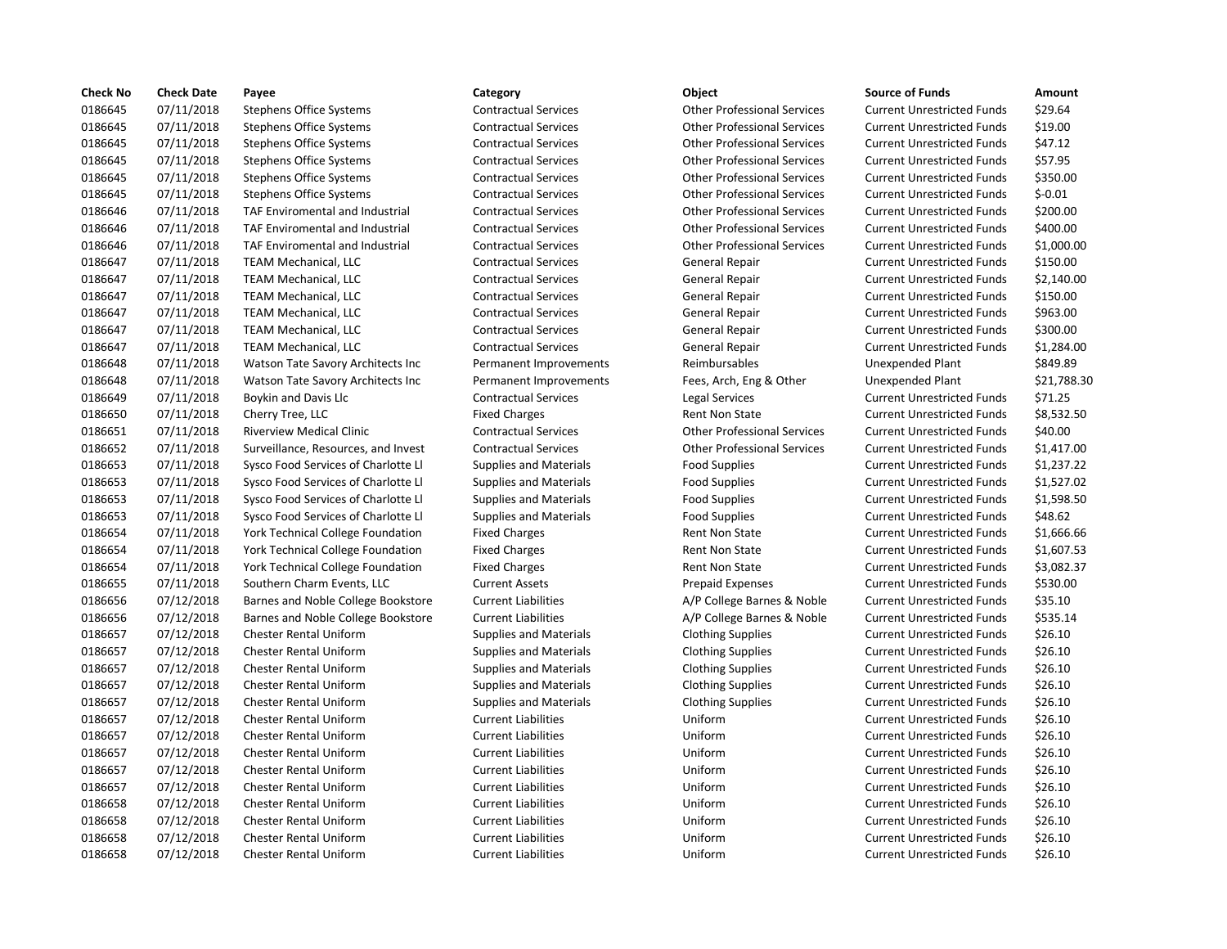| <b>Check No</b> | <b>Check Date</b> | Payee                                    | Category                      | Object                             | <b>Source of Funds</b>            | Amount    |
|-----------------|-------------------|------------------------------------------|-------------------------------|------------------------------------|-----------------------------------|-----------|
| 0186645         | 07/11/2018        | <b>Stephens Office Systems</b>           | <b>Contractual Services</b>   | <b>Other Professional Services</b> | <b>Current Unrestricted Funds</b> | \$29.64   |
| 0186645         | 07/11/2018        | <b>Stephens Office Systems</b>           | <b>Contractual Services</b>   | <b>Other Professional Services</b> | <b>Current Unrestricted Funds</b> | \$19.00   |
| 0186645         | 07/11/2018        | <b>Stephens Office Systems</b>           | <b>Contractual Services</b>   | <b>Other Professional Services</b> | <b>Current Unrestricted Funds</b> | \$47.12   |
| 0186645         | 07/11/2018        | <b>Stephens Office Systems</b>           | <b>Contractual Services</b>   | <b>Other Professional Services</b> | <b>Current Unrestricted Funds</b> | \$57.95   |
| 0186645         | 07/11/2018        | <b>Stephens Office Systems</b>           | <b>Contractual Services</b>   | <b>Other Professional Services</b> | <b>Current Unrestricted Funds</b> | \$350.00  |
| 0186645         | 07/11/2018        | <b>Stephens Office Systems</b>           | <b>Contractual Services</b>   | <b>Other Professional Services</b> | <b>Current Unrestricted Funds</b> | $$-0.01$  |
| 0186646         | 07/11/2018        | TAF Enviromental and Industrial          | <b>Contractual Services</b>   | <b>Other Professional Services</b> | <b>Current Unrestricted Funds</b> | \$200.00  |
| 0186646         | 07/11/2018        | TAF Enviromental and Industrial          | <b>Contractual Services</b>   | <b>Other Professional Services</b> | <b>Current Unrestricted Funds</b> | \$400.00  |
| 0186646         | 07/11/2018        | TAF Enviromental and Industrial          | <b>Contractual Services</b>   | <b>Other Professional Services</b> | <b>Current Unrestricted Funds</b> | \$1,000.0 |
| 0186647         | 07/11/2018        | <b>TEAM Mechanical, LLC</b>              | <b>Contractual Services</b>   | <b>General Repair</b>              | <b>Current Unrestricted Funds</b> | \$150.00  |
| 0186647         | 07/11/2018        | <b>TEAM Mechanical, LLC</b>              | <b>Contractual Services</b>   | General Repair                     | <b>Current Unrestricted Funds</b> | \$2,140.0 |
| 0186647         | 07/11/2018        | <b>TEAM Mechanical, LLC</b>              | <b>Contractual Services</b>   | <b>General Repair</b>              | <b>Current Unrestricted Funds</b> | \$150.00  |
| 0186647         | 07/11/2018        | <b>TEAM Mechanical, LLC</b>              | <b>Contractual Services</b>   | General Repair                     | <b>Current Unrestricted Funds</b> | \$963.00  |
| 0186647         | 07/11/2018        | <b>TEAM Mechanical, LLC</b>              | <b>Contractual Services</b>   | General Repair                     | <b>Current Unrestricted Funds</b> | \$300.00  |
| 0186647         | 07/11/2018        | <b>TEAM Mechanical, LLC</b>              | <b>Contractual Services</b>   | General Repair                     | <b>Current Unrestricted Funds</b> | \$1,284.0 |
| 0186648         | 07/11/2018        | Watson Tate Savory Architects Inc        | Permanent Improvements        | Reimbursables                      | <b>Unexpended Plant</b>           | \$849.89  |
| 0186648         | 07/11/2018        | Watson Tate Savory Architects Inc        | Permanent Improvements        | Fees, Arch, Eng & Other            | <b>Unexpended Plant</b>           | \$21,788  |
| 0186649         | 07/11/2018        | Boykin and Davis Llc                     | <b>Contractual Services</b>   | Legal Services                     | <b>Current Unrestricted Funds</b> | \$71.25   |
| 0186650         | 07/11/2018        | Cherry Tree, LLC                         | <b>Fixed Charges</b>          | <b>Rent Non State</b>              | <b>Current Unrestricted Funds</b> | \$8,532.5 |
| 0186651         | 07/11/2018        | <b>Riverview Medical Clinic</b>          | <b>Contractual Services</b>   | <b>Other Professional Services</b> | <b>Current Unrestricted Funds</b> | \$40.00   |
| 0186652         | 07/11/2018        | Surveillance, Resources, and Invest      | <b>Contractual Services</b>   | <b>Other Professional Services</b> | <b>Current Unrestricted Funds</b> | \$1,417.0 |
| 0186653         | 07/11/2018        | Sysco Food Services of Charlotte Ll      | <b>Supplies and Materials</b> | <b>Food Supplies</b>               | <b>Current Unrestricted Funds</b> | \$1,237.2 |
| 0186653         | 07/11/2018        | Sysco Food Services of Charlotte Ll      | <b>Supplies and Materials</b> | <b>Food Supplies</b>               | <b>Current Unrestricted Funds</b> | \$1,527.0 |
| 0186653         | 07/11/2018        | Sysco Food Services of Charlotte Ll      | <b>Supplies and Materials</b> | <b>Food Supplies</b>               | <b>Current Unrestricted Funds</b> | \$1,598.5 |
| 0186653         | 07/11/2018        | Sysco Food Services of Charlotte Ll      | <b>Supplies and Materials</b> | <b>Food Supplies</b>               | <b>Current Unrestricted Funds</b> | \$48.62   |
| 0186654         | 07/11/2018        | <b>York Technical College Foundation</b> | <b>Fixed Charges</b>          | <b>Rent Non State</b>              | <b>Current Unrestricted Funds</b> | \$1,666.6 |
| 0186654         | 07/11/2018        | York Technical College Foundation        | <b>Fixed Charges</b>          | <b>Rent Non State</b>              | <b>Current Unrestricted Funds</b> | \$1,607.5 |
| 0186654         | 07/11/2018        | <b>York Technical College Foundation</b> | <b>Fixed Charges</b>          | Rent Non State                     | <b>Current Unrestricted Funds</b> | \$3,082.3 |
| 0186655         | 07/11/2018        | Southern Charm Events, LLC               | <b>Current Assets</b>         | <b>Prepaid Expenses</b>            | <b>Current Unrestricted Funds</b> | \$530.00  |
| 0186656         | 07/12/2018        | Barnes and Noble College Bookstore       | <b>Current Liabilities</b>    | A/P College Barnes & Noble         | <b>Current Unrestricted Funds</b> | \$35.10   |
| 0186656         | 07/12/2018        | Barnes and Noble College Bookstore       | <b>Current Liabilities</b>    | A/P College Barnes & Noble         | <b>Current Unrestricted Funds</b> | \$535.14  |
| 0186657         | 07/12/2018        | <b>Chester Rental Uniform</b>            | <b>Supplies and Materials</b> | <b>Clothing Supplies</b>           | <b>Current Unrestricted Funds</b> | \$26.10   |
| 0186657         | 07/12/2018        | <b>Chester Rental Uniform</b>            | <b>Supplies and Materials</b> | <b>Clothing Supplies</b>           | <b>Current Unrestricted Funds</b> | \$26.10   |
| 0186657         | 07/12/2018        | <b>Chester Rental Uniform</b>            | <b>Supplies and Materials</b> | <b>Clothing Supplies</b>           | <b>Current Unrestricted Funds</b> | \$26.10   |
| 0186657         | 07/12/2018        | <b>Chester Rental Uniform</b>            | <b>Supplies and Materials</b> | <b>Clothing Supplies</b>           | <b>Current Unrestricted Funds</b> | \$26.10   |
| 0186657         | 07/12/2018        | <b>Chester Rental Uniform</b>            | <b>Supplies and Materials</b> | <b>Clothing Supplies</b>           | <b>Current Unrestricted Funds</b> | \$26.10   |
| 0186657         | 07/12/2018        | <b>Chester Rental Uniform</b>            | <b>Current Liabilities</b>    | Uniform                            | <b>Current Unrestricted Funds</b> | \$26.10   |
| 0186657         | 07/12/2018        | <b>Chester Rental Uniform</b>            | <b>Current Liabilities</b>    | Uniform                            | <b>Current Unrestricted Funds</b> | \$26.10   |
| 0186657         | 07/12/2018        | <b>Chester Rental Uniform</b>            | <b>Current Liabilities</b>    | Uniform                            | <b>Current Unrestricted Funds</b> | \$26.10   |
| 0186657         | 07/12/2018        | <b>Chester Rental Uniform</b>            | <b>Current Liabilities</b>    | Uniform                            | <b>Current Unrestricted Funds</b> | \$26.10   |
| 0186657         | 07/12/2018        | <b>Chester Rental Uniform</b>            | <b>Current Liabilities</b>    | Uniform                            | <b>Current Unrestricted Funds</b> | \$26.10   |
| 0186658         | 07/12/2018        | Chester Rental Uniform                   | <b>Current Liabilities</b>    | Uniform                            | <b>Current Unrestricted Funds</b> | \$26.10   |
| 0186658         | 07/12/2018        | <b>Chester Rental Uniform</b>            | <b>Current Liabilities</b>    | Uniform                            | <b>Current Unrestricted Funds</b> | \$26.10   |
| 0186658         | 07/12/2018        | <b>Chester Rental Uniform</b>            | <b>Current Liabilities</b>    | Uniform                            | <b>Current Unrestricted Funds</b> | \$26.10   |
| 0186658         | 07/12/2018        | <b>Chester Rental Uniform</b>            | <b>Current Liabilities</b>    | Uniform                            | <b>Current Unrestricted Funds</b> | \$26.10   |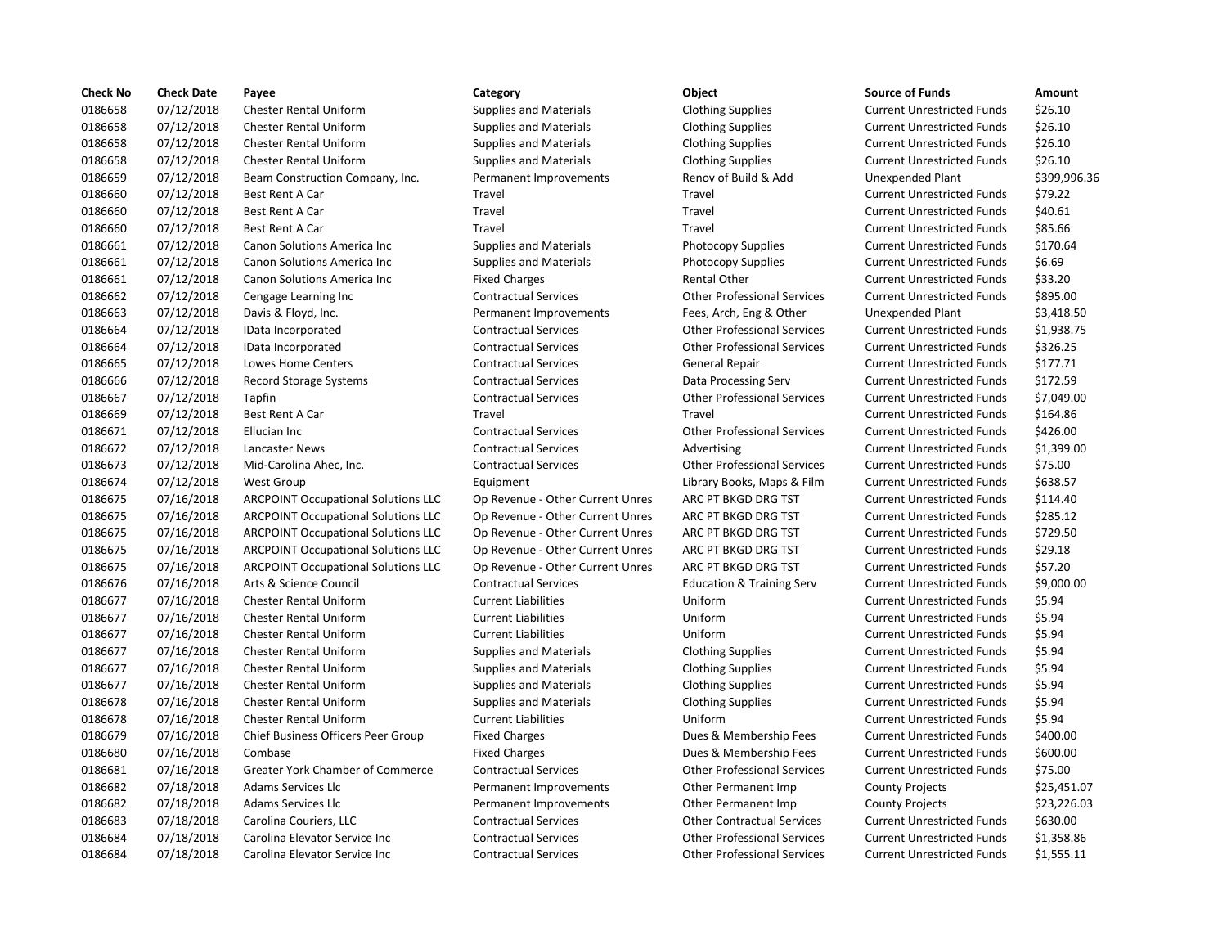| <b>Check No</b> | <b>Check Date</b> | Payee                                      | Category                         | Object                               | <b>Source of Funds</b>            | Amount    |
|-----------------|-------------------|--------------------------------------------|----------------------------------|--------------------------------------|-----------------------------------|-----------|
| 0186658         | 07/12/2018        | <b>Chester Rental Uniform</b>              | <b>Supplies and Materials</b>    | <b>Clothing Supplies</b>             | <b>Current Unrestricted Funds</b> | \$26.10   |
| 0186658         | 07/12/2018        | <b>Chester Rental Uniform</b>              | <b>Supplies and Materials</b>    | <b>Clothing Supplies</b>             | <b>Current Unrestricted Funds</b> | \$26.10   |
| 0186658         | 07/12/2018        | <b>Chester Rental Uniform</b>              | <b>Supplies and Materials</b>    | <b>Clothing Supplies</b>             | <b>Current Unrestricted Funds</b> | \$26.10   |
| 0186658         | 07/12/2018        | <b>Chester Rental Uniform</b>              | <b>Supplies and Materials</b>    | <b>Clothing Supplies</b>             | <b>Current Unrestricted Funds</b> | \$26.10   |
| 0186659         | 07/12/2018        | Beam Construction Company, Inc.            | Permanent Improvements           | Renov of Build & Add                 | <b>Unexpended Plant</b>           | \$399,99  |
| 0186660         | 07/12/2018        | Best Rent A Car                            | Travel                           | Travel                               | <b>Current Unrestricted Funds</b> | \$79.22   |
| 0186660         | 07/12/2018        | Best Rent A Car                            | Travel                           | Travel                               | <b>Current Unrestricted Funds</b> | \$40.61   |
| 0186660         | 07/12/2018        | Best Rent A Car                            | Travel                           | Travel                               | <b>Current Unrestricted Funds</b> | \$85.66   |
| 0186661         | 07/12/2018        | Canon Solutions America Inc                | <b>Supplies and Materials</b>    | <b>Photocopy Supplies</b>            | <b>Current Unrestricted Funds</b> | \$170.64  |
| 0186661         | 07/12/2018        | Canon Solutions America Inc                | <b>Supplies and Materials</b>    | <b>Photocopy Supplies</b>            | <b>Current Unrestricted Funds</b> | \$6.69    |
| 0186661         | 07/12/2018        | Canon Solutions America Inc                | <b>Fixed Charges</b>             | <b>Rental Other</b>                  | <b>Current Unrestricted Funds</b> | \$33.20   |
| 0186662         | 07/12/2018        | Cengage Learning Inc                       | <b>Contractual Services</b>      | <b>Other Professional Services</b>   | <b>Current Unrestricted Funds</b> | \$895.00  |
| 0186663         | 07/12/2018        | Davis & Floyd, Inc.                        | Permanent Improvements           | Fees, Arch, Eng & Other              | <b>Unexpended Plant</b>           | \$3,418.5 |
| 0186664         | 07/12/2018        | IData Incorporated                         | <b>Contractual Services</b>      | <b>Other Professional Services</b>   | <b>Current Unrestricted Funds</b> | \$1,938.7 |
| 0186664         | 07/12/2018        | IData Incorporated                         | <b>Contractual Services</b>      | <b>Other Professional Services</b>   | <b>Current Unrestricted Funds</b> | \$326.25  |
| 0186665         | 07/12/2018        | Lowes Home Centers                         | <b>Contractual Services</b>      | <b>General Repair</b>                | <b>Current Unrestricted Funds</b> | \$177.71  |
| 0186666         | 07/12/2018        | <b>Record Storage Systems</b>              | <b>Contractual Services</b>      | Data Processing Serv                 | <b>Current Unrestricted Funds</b> | \$172.59  |
| 0186667         | 07/12/2018        | Tapfin                                     | <b>Contractual Services</b>      | <b>Other Professional Services</b>   | <b>Current Unrestricted Funds</b> | \$7,049.0 |
| 0186669         | 07/12/2018        | Best Rent A Car                            | Travel                           | Travel                               | <b>Current Unrestricted Funds</b> | \$164.86  |
| 0186671         | 07/12/2018        | Ellucian Inc                               | <b>Contractual Services</b>      | <b>Other Professional Services</b>   | <b>Current Unrestricted Funds</b> | \$426.00  |
| 0186672         | 07/12/2018        | Lancaster News                             | <b>Contractual Services</b>      | Advertising                          | <b>Current Unrestricted Funds</b> | \$1,399.0 |
| 0186673         | 07/12/2018        | Mid-Carolina Ahec, Inc.                    | <b>Contractual Services</b>      | <b>Other Professional Services</b>   | <b>Current Unrestricted Funds</b> | \$75.00   |
| 0186674         | 07/12/2018        | <b>West Group</b>                          | Equipment                        | Library Books, Maps & Film           | <b>Current Unrestricted Funds</b> | \$638.57  |
| 0186675         | 07/16/2018        | <b>ARCPOINT Occupational Solutions LLC</b> | Op Revenue - Other Current Unres | ARC PT BKGD DRG TST                  | <b>Current Unrestricted Funds</b> | \$114.40  |
| 0186675         | 07/16/2018        | <b>ARCPOINT Occupational Solutions LLC</b> | Op Revenue - Other Current Unres | ARC PT BKGD DRG TST                  | <b>Current Unrestricted Funds</b> | \$285.12  |
| 0186675         | 07/16/2018        | <b>ARCPOINT Occupational Solutions LLC</b> | Op Revenue - Other Current Unres | ARC PT BKGD DRG TST                  | <b>Current Unrestricted Funds</b> | \$729.50  |
| 0186675         | 07/16/2018        | <b>ARCPOINT Occupational Solutions LLC</b> | Op Revenue - Other Current Unres | ARC PT BKGD DRG TST                  | <b>Current Unrestricted Funds</b> | \$29.18   |
| 0186675         | 07/16/2018        | <b>ARCPOINT Occupational Solutions LLC</b> | Op Revenue - Other Current Unres | ARC PT BKGD DRG TST                  | <b>Current Unrestricted Funds</b> | \$57.20   |
| 0186676         | 07/16/2018        | Arts & Science Council                     | <b>Contractual Services</b>      | <b>Education &amp; Training Serv</b> | <b>Current Unrestricted Funds</b> | \$9,000.0 |
| 0186677         | 07/16/2018        | <b>Chester Rental Uniform</b>              | <b>Current Liabilities</b>       | Uniform                              | <b>Current Unrestricted Funds</b> | \$5.94    |
| 0186677         | 07/16/2018        | <b>Chester Rental Uniform</b>              | <b>Current Liabilities</b>       | Uniform                              | <b>Current Unrestricted Funds</b> | \$5.94    |
| 0186677         | 07/16/2018        | <b>Chester Rental Uniform</b>              | <b>Current Liabilities</b>       | Uniform                              | <b>Current Unrestricted Funds</b> | \$5.94    |
| 0186677         | 07/16/2018        | <b>Chester Rental Uniform</b>              | <b>Supplies and Materials</b>    | <b>Clothing Supplies</b>             | <b>Current Unrestricted Funds</b> | \$5.94    |
| 0186677         | 07/16/2018        | <b>Chester Rental Uniform</b>              | <b>Supplies and Materials</b>    | <b>Clothing Supplies</b>             | <b>Current Unrestricted Funds</b> | \$5.94    |
| 0186677         | 07/16/2018        | <b>Chester Rental Uniform</b>              | <b>Supplies and Materials</b>    | <b>Clothing Supplies</b>             | <b>Current Unrestricted Funds</b> | \$5.94    |
| 0186678         | 07/16/2018        | <b>Chester Rental Uniform</b>              | <b>Supplies and Materials</b>    | <b>Clothing Supplies</b>             | <b>Current Unrestricted Funds</b> | \$5.94    |
| 0186678         | 07/16/2018        | <b>Chester Rental Uniform</b>              | <b>Current Liabilities</b>       | Uniform                              | <b>Current Unrestricted Funds</b> | \$5.94    |
| 0186679         | 07/16/2018        | Chief Business Officers Peer Group         | <b>Fixed Charges</b>             | Dues & Membership Fees               | <b>Current Unrestricted Funds</b> | \$400.00  |
| 0186680         | 07/16/2018        | Combase                                    | <b>Fixed Charges</b>             | Dues & Membership Fees               | <b>Current Unrestricted Funds</b> | \$600.00  |
| 0186681         | 07/16/2018        | Greater York Chamber of Commerce           | <b>Contractual Services</b>      | <b>Other Professional Services</b>   | <b>Current Unrestricted Funds</b> | \$75.00   |
| 0186682         | 07/18/2018        | Adams Services Llc                         | Permanent Improvements           | Other Permanent Imp                  | <b>County Projects</b>            | \$25,451  |
| 0186682         | 07/18/2018        | Adams Services Llc                         | Permanent Improvements           | Other Permanent Imp                  | <b>County Projects</b>            | \$23,226  |
| 0186683         | 07/18/2018        | Carolina Couriers, LLC                     | <b>Contractual Services</b>      | <b>Other Contractual Services</b>    | <b>Current Unrestricted Funds</b> | \$630.00  |
| 0186684         | 07/18/2018        | Carolina Elevator Service Inc              | <b>Contractual Services</b>      | <b>Other Professional Services</b>   | <b>Current Unrestricted Funds</b> | \$1,358.8 |
| 0186684         | 07/18/2018        | Carolina Elevator Service Inc.             | <b>Contractual Services</b>      | <b>Other Professional Services</b>   | <b>Current Unrestricted Funds</b> | \$1.555.1 |

# Contractual Services **Carolina Elevator Contractual Services** Current Unrestricted Funds \$1,555.11

# Outhing Supplies and Materials Clothing Supplies Current Unrestricted Funds \$26.10 Supplies and Materials **Clothing Supplies** Current Unrestricted Funds \$26.10 0186658 07/12/2018 Chester Rental Uniform Supplies and Materials Clothing Supplies Current Unrestricted Funds \$26.10 Outhing Supplies and Materials Clothing Supplies Current Unrestricted Funds \$26.10 Permanent Improvements Renov of Build & Add Unexpended Plant \$399,996.36 0186660 07/12/2018 Best Rent A Car Travel Travel Current Unrestricted Funds \$79.22 Travel **11866** 1778 External Travel Current Unrestricted Funds 540.61 Travel **1206660 17126661 1778661 1778661 1778661 1778661 1778661 1788661 1788661 1788661 1788661 1788661 17886** Supplies and Materials **Canon State Inc.** Photocopy Supplies **Current Unrestricted Funds** \$170.64 Supplies and Materials **Current Inc Solutions America** Photocopy Supplies Current Unrestricted Funds \$6.69 Fixed Charges **1986 12018 Canon Solutions America** Current Unrestricted Funds 533.20 Contractual Services **Cancel Contractual Services** Other Professional Services Current Unrestricted Funds \$895.00 Permanent Improvements Fees, Arch, Eng & Other Unexpended Plant \$3,418.50 0186664 07/12/2018 IData Incorporated Contractual Services Other Professional Services Current Unrestricted Funds \$1,938.75 0186664 07/12/2018 IData Incorporated Contractual Services Other Professional Services Current Unrestricted Funds \$326.25 Contractual Services **177.71** General Repair Current Unrestricted Funds \$177.71 0186666 07/12/2018 Record Storage Systems Contractual Services Data Processing Serv Current Unrestricted Funds \$172.59 0186667 07/12/2018 Tapfin Contractual Services Other Professional Services Current Unrestricted Funds \$7,049.00 0186669 07/12/2018 Best Rent A Car Travel Travel Current Unrestricted Funds \$164.86 0186671 07/12/2018 Ellucian Inc Contractual Services Other Professional Services Current Unrestricted Funds \$426.00 0186672 07/12/2018 Lancaster News Contractual Services Advertising Current Unrestricted Funds \$1,399.00 0186673 07/12/2018 Mid-Carolina Ahec, Inc. Contractual Services Other Professional Services Current Unrestricted Funds \$75.00 0186674 07/12/2018 West Group Equipment Library Books, Maps & Film Current Unrestricted Funds \$638.57 Op Revenue - Other Current Unres ARC PT BKGD DRG TST Current Unrestricted Funds \$114.40 Op Revenue - Other Current Unres ARC PT BKGD DRG TST Current Unrestricted Funds \$285.12 Op Revenue - Other Current Unres ARC PT BKGD DRG TST Current Unrestricted Funds \$729.50 Op Revenue - Other Current Unres ARC PT BKGD DRG TST Current Unrestricted Funds \$29.18 Op Revenue - Other Current Unres ARC PT BKGD DRG TST Current Unrestricted Funds \$57.20 0186676 07/16/2018 Arts & Science Council Contractual Services Education & Training Serv Current Unrestricted Funds \$9,000.00 0186677 07/16/2018 Chester Rental Uniform Current Liabilities Uniform Current Unrestricted Funds \$5.94 0186677 07/16/2018 Chester Rental Uniform Current Liabilities Uniform Current Unrestricted Funds \$5.94 0186677 07/16/2018 Chester Rental Uniform Current Liabilities Uniform Current Unrestricted Funds \$5.94 Supplies and Materials **Clothing Supplies Current Uniform Supplies** Current Uniform Current Unitors Current Unit Supplies and Materials **Clothing Supplies Current Unrestricted Funds** \$5.94 Supplies and Materials **Clothing Supplies Current Unrestricted Funds** \$5.94 Supplies and Materials **Clothing Supplies Current Unrestricted Funds** \$5.94 Ourrent Liabilities **1866 Uniform** Current Unrestricted Funds 55.94 Fixed Charges **Charges Charges Current Unrestricted Funds** \$400.00 Fixed Charges The State of Dues & Membership Fees Current Unrestricted Funds \$600.00 0186681 07/16/2018 Greater York Chamber of Commerce Contractual Services Other Professional Services Current Unrestricted Funds \$75.00 Permanent Improvements **Other Permanent Imp** County Projects \$25,451.07 Permanent Improvements **Other Permanent Imp** County Projects \$23,226.03 Contractual Services **18.2018 Contractual Contractual Services** Current Unrestricted Funds \$630.00 Contractual Services **Carolina Elevator Contractual Services** Current Unrestricted Funds \$1,358.86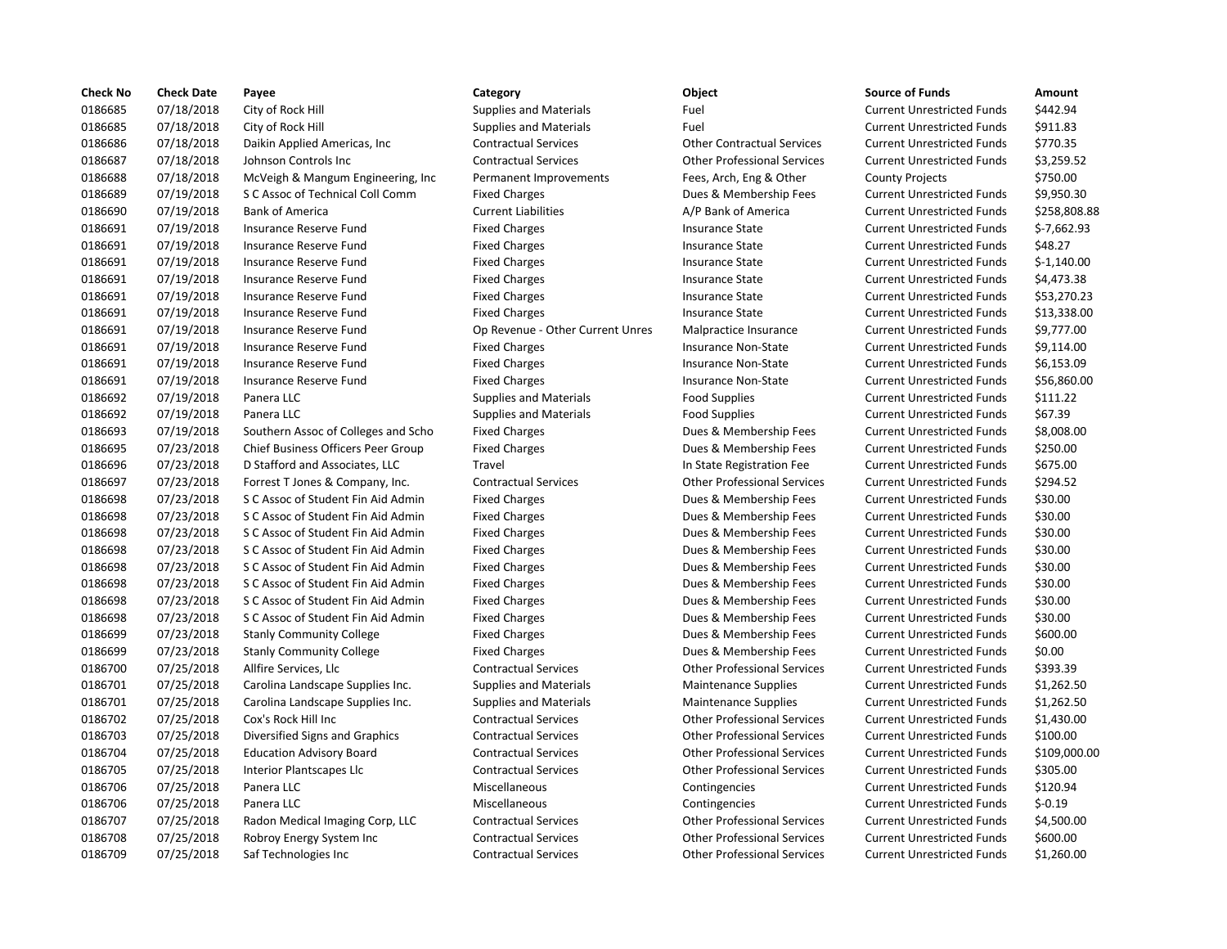| <b>Check No</b> | <b>Check Date</b> | Payee                               | Category                         | Object                             | <b>Source of Funds</b>            | Amount     |
|-----------------|-------------------|-------------------------------------|----------------------------------|------------------------------------|-----------------------------------|------------|
| 0186685         | 07/18/2018        | City of Rock Hill                   | <b>Supplies and Materials</b>    | Fuel                               | <b>Current Unrestricted Funds</b> | \$442.94   |
| 0186685         | 07/18/2018        | City of Rock Hill                   | <b>Supplies and Materials</b>    | Fuel                               | <b>Current Unrestricted Funds</b> | \$911.83   |
| 0186686         | 07/18/2018        | Daikin Applied Americas, Inc.       | <b>Contractual Services</b>      | <b>Other Contractual Services</b>  | <b>Current Unrestricted Funds</b> | \$770.35   |
| 0186687         | 07/18/2018        | Johnson Controls Inc                | <b>Contractual Services</b>      | <b>Other Professional Services</b> | <b>Current Unrestricted Funds</b> | \$3,259.5  |
| 0186688         | 07/18/2018        | McVeigh & Mangum Engineering, Inc   | Permanent Improvements           | Fees, Arch, Eng & Other            | <b>County Projects</b>            | \$750.00   |
| 0186689         | 07/19/2018        | S C Assoc of Technical Coll Comm    | <b>Fixed Charges</b>             | Dues & Membership Fees             | <b>Current Unrestricted Funds</b> | \$9,950.3  |
| 0186690         | 07/19/2018        | <b>Bank of America</b>              | <b>Current Liabilities</b>       | A/P Bank of America                | <b>Current Unrestricted Funds</b> | \$258,80   |
| 0186691         | 07/19/2018        | Insurance Reserve Fund              | <b>Fixed Charges</b>             | <b>Insurance State</b>             | <b>Current Unrestricted Funds</b> | $$-7,662.$ |
| 0186691         | 07/19/2018        | Insurance Reserve Fund              | <b>Fixed Charges</b>             | <b>Insurance State</b>             | <b>Current Unrestricted Funds</b> | \$48.27    |
| 0186691         | 07/19/2018        | Insurance Reserve Fund              | <b>Fixed Charges</b>             | <b>Insurance State</b>             | <b>Current Unrestricted Funds</b> | $$-1,140.$ |
| 0186691         | 07/19/2018        | Insurance Reserve Fund              | <b>Fixed Charges</b>             | <b>Insurance State</b>             | <b>Current Unrestricted Funds</b> | \$4,473.3  |
| 0186691         | 07/19/2018        | Insurance Reserve Fund              | <b>Fixed Charges</b>             | <b>Insurance State</b>             | <b>Current Unrestricted Funds</b> | \$53,270   |
| 0186691         | 07/19/2018        | Insurance Reserve Fund              | <b>Fixed Charges</b>             | <b>Insurance State</b>             | <b>Current Unrestricted Funds</b> | \$13,338   |
| 0186691         | 07/19/2018        | Insurance Reserve Fund              | Op Revenue - Other Current Unres | Malpractice Insurance              | <b>Current Unrestricted Funds</b> | \$9,777.0  |
| 0186691         | 07/19/2018        | Insurance Reserve Fund              | <b>Fixed Charges</b>             | Insurance Non-State                | <b>Current Unrestricted Funds</b> | \$9,114.0  |
| 0186691         | 07/19/2018        | Insurance Reserve Fund              | <b>Fixed Charges</b>             | <b>Insurance Non-State</b>         | <b>Current Unrestricted Funds</b> | \$6,153.0  |
| 0186691         | 07/19/2018        | Insurance Reserve Fund              | <b>Fixed Charges</b>             | <b>Insurance Non-State</b>         | <b>Current Unrestricted Funds</b> | \$56,860   |
| 0186692         | 07/19/2018        | Panera LLC                          | <b>Supplies and Materials</b>    | <b>Food Supplies</b>               | <b>Current Unrestricted Funds</b> | \$111.22   |
| 0186692         | 07/19/2018        | Panera LLC                          | <b>Supplies and Materials</b>    | <b>Food Supplies</b>               | <b>Current Unrestricted Funds</b> | \$67.39    |
| 0186693         | 07/19/2018        | Southern Assoc of Colleges and Scho | <b>Fixed Charges</b>             | Dues & Membership Fees             | <b>Current Unrestricted Funds</b> | \$8,008.0  |
| 0186695         | 07/23/2018        | Chief Business Officers Peer Group  | <b>Fixed Charges</b>             | Dues & Membership Fees             | <b>Current Unrestricted Funds</b> | \$250.00   |
| 0186696         | 07/23/2018        | D Stafford and Associates, LLC      | Travel                           | In State Registration Fee          | <b>Current Unrestricted Funds</b> | \$675.00   |
| 0186697         | 07/23/2018        | Forrest T Jones & Company, Inc.     | <b>Contractual Services</b>      | <b>Other Professional Services</b> | <b>Current Unrestricted Funds</b> | \$294.52   |
| 0186698         | 07/23/2018        | S C Assoc of Student Fin Aid Admin  | <b>Fixed Charges</b>             | Dues & Membership Fees             | <b>Current Unrestricted Funds</b> | \$30.00    |
| 0186698         | 07/23/2018        | S C Assoc of Student Fin Aid Admin  | <b>Fixed Charges</b>             | Dues & Membership Fees             | <b>Current Unrestricted Funds</b> | \$30.00    |
| 0186698         | 07/23/2018        | S C Assoc of Student Fin Aid Admin  | <b>Fixed Charges</b>             | Dues & Membership Fees             | <b>Current Unrestricted Funds</b> | \$30.00    |
| 0186698         | 07/23/2018        | S C Assoc of Student Fin Aid Admin  | <b>Fixed Charges</b>             | Dues & Membership Fees             | <b>Current Unrestricted Funds</b> | \$30.00    |
| 0186698         | 07/23/2018        | S C Assoc of Student Fin Aid Admin  | <b>Fixed Charges</b>             | Dues & Membership Fees             | <b>Current Unrestricted Funds</b> | \$30.00    |
| 0186698         | 07/23/2018        | S C Assoc of Student Fin Aid Admin  | <b>Fixed Charges</b>             | Dues & Membership Fees             | <b>Current Unrestricted Funds</b> | \$30.00    |
| 0186698         | 07/23/2018        | S C Assoc of Student Fin Aid Admin  | <b>Fixed Charges</b>             | Dues & Membership Fees             | <b>Current Unrestricted Funds</b> | \$30.00    |
| 0186698         | 07/23/2018        | S C Assoc of Student Fin Aid Admin  | <b>Fixed Charges</b>             | Dues & Membership Fees             | <b>Current Unrestricted Funds</b> | \$30.00    |
| 0186699         | 07/23/2018        | <b>Stanly Community College</b>     | <b>Fixed Charges</b>             | Dues & Membership Fees             | <b>Current Unrestricted Funds</b> | \$600.00   |
| 0186699         | 07/23/2018        | <b>Stanly Community College</b>     | <b>Fixed Charges</b>             | Dues & Membership Fees             | <b>Current Unrestricted Funds</b> | \$0.00     |
| 0186700         | 07/25/2018        | Allfire Services, Llc               | <b>Contractual Services</b>      | <b>Other Professional Services</b> | <b>Current Unrestricted Funds</b> | \$393.39   |
| 0186701         | 07/25/2018        | Carolina Landscape Supplies Inc.    | <b>Supplies and Materials</b>    | <b>Maintenance Supplies</b>        | <b>Current Unrestricted Funds</b> | \$1,262.5  |
| 0186701         | 07/25/2018        | Carolina Landscape Supplies Inc.    | <b>Supplies and Materials</b>    | <b>Maintenance Supplies</b>        | <b>Current Unrestricted Funds</b> | \$1,262.5  |
| 0186702         | 07/25/2018        | Cox's Rock Hill Inc                 | <b>Contractual Services</b>      | <b>Other Professional Services</b> | <b>Current Unrestricted Funds</b> | \$1,430.0  |
| 0186703         | 07/25/2018        | Diversified Signs and Graphics      | <b>Contractual Services</b>      | <b>Other Professional Services</b> | <b>Current Unrestricted Funds</b> | \$100.00   |
| 0186704         | 07/25/2018        | <b>Education Advisory Board</b>     | <b>Contractual Services</b>      | <b>Other Professional Services</b> | <b>Current Unrestricted Funds</b> | \$109,00   |
| 0186705         | 07/25/2018        | Interior Plantscapes Llc            | <b>Contractual Services</b>      | <b>Other Professional Services</b> | <b>Current Unrestricted Funds</b> | \$305.00   |
| 0186706         | 07/25/2018        | Panera LLC                          | Miscellaneous                    | Contingencies                      | <b>Current Unrestricted Funds</b> | \$120.94   |
| 0186706         | 07/25/2018        | Panera LLC                          | Miscellaneous                    | Contingencies                      | <b>Current Unrestricted Funds</b> | $$-0.19$   |
| 0186707         | 07/25/2018        | Radon Medical Imaging Corp, LLC     | <b>Contractual Services</b>      | <b>Other Professional Services</b> | <b>Current Unrestricted Funds</b> | \$4,500.0  |
| 0186708         | 07/25/2018        | Robroy Energy System Inc            | <b>Contractual Services</b>      | <b>Other Professional Services</b> | <b>Current Unrestricted Funds</b> | \$600.00   |
| 0186709         | 07/25/2018        | Saf Technologies Inc                | <b>Contractual Services</b>      | <b>Other Professional Services</b> | <b>Current Unrestricted Funds</b> | \$1,260.0  |
|                 |                   |                                     |                                  |                                    |                                   |            |

# 0186685 07/18/2018 City of Rock Hill Supplies and Materials Fuel Current Unrestricted Funds \$442.94 Supplies and Materials **612.668 Current Unrestricted Funds** 6911.83 0186686 07/18/2018 Daikin Applied Americas, Inc Contractual Services Other Contractual Services Current Unrestricted Funds \$770.35 Contractual Services **Contractual Services** Other Professional Services Current Unrestricted Funds \$3,259.52 duch the Mangum Engineering of the Mangum Engineering, Inc Permanent Improvements Fees, Arch, Eng & Other County Projects \$750.00 Fixed Charges **1998 Current Unrestricted Funds** 59,950.30 0186690 07/19/2018 Bank of America Current Liabilities A/P Bank of America Current Unrestricted Funds \$258,808.88 Fixed Charges Thisurance State Current Unrestricted Funds \$-7,662.93 Fixed Charges The Insurance State Current Unrestricted Funds 548.27 Fixed Charges Thisurance State Current Unrestricted Funds 5-1,140.00 Fixed Charges The State Insurance State Current Unrestricted Funds \$4,473.38 Fixed Charges The State Insurance State Current Unrestricted Funds \$53,270.23 Fixed Charges The State Current Unrestricted Funds \$13,338.00 Op Revenue - Other Current Unres Malpractice Insurance Current Unrestricted Funds \$9,777.00 Fixed Charges **Insurance Non-State** Current Unrestricted Funds \$9,114.00 Fixed Charges **Insurance Non-State** Current Unrestricted Funds \$6,153.09 Fixed Charges The State Insurance Non-State Current Unrestricted Funds \$56,860.00 0186692 07/19/2018 Panera LLC Supplies and Materials Food Supplies Current Unrestricted Funds \$111.22 Supplies and Materials **EXALC SUPPLIES** Food Supplies Current Unrestricted Funds 567.39 015 13,008 Charges Colleges Associates Bues & Membership Fees Current Unrestricted Funds \$8,008.00 19 1918 Tixed Charges Current Dues & Membership Fees Current Unrestricted Funds 5250.00 Travel **1866 1976 In State Registration Fee** Current Unrestricted Funds \$675.00 Contractual Services **Forman Company, Inc. Company, Inc. 2018** For Services Current Unrestricted Funds \$294.52 nin Fixed Charges The Student Find Alexandre Current Unrestricted Funds 530.00 nin Fixed Charges The Student Charges Current Unrestricted Funds \$30.00 nin Fixed Charges **Cassoc of Charges Current Example And Admin Fin Admin Administration Current Unrestricted Funds** \$30.00 in Fixed Charges **Cassoc of Charges Current Find Administers** Dues & Membership Fees Current Unrestricted Funds \$30.00 nin Fixed Charges **Cassoc of Charges Current Example And Admin Fin Admin Administration Current Unrestricted Funds** \$30.00 nin Fixed Charges **Cassoc of Charges Current Eines Admin Administrat** Current Unrestricted Funds \$30.00 in Fixed Charges **Cassoc of Charges Current Eines Current Unrestricted Funds** \$30.00 in Fixed Charges **Cassoc of Charges Current Find Administers** Dues & Membership Fees Current Unrestricted Funds \$30.00 Fixed Charges **1886 Community Community Community Community** Current Unrestricted Funds 5600.00 Fixed Charges **1866 1978 Community Community Community** Community Charges Fixed Charges Current Unrestricted Funds \$0.00 Contractual Services **CONTER ALLC CONTROVER ALLC CONTRACTES ARE:** Current Unrestricted Funds \$393.39 0186701 07/25/2018 Carolina Landscape Supplies Inc. Supplies and Materials Maintenance Supplies Current Unrestricted Funds \$1,262.50 0186701 07/25/2018 Carolina Landscape Supplies Inc. Supplies and Materials Maintenance Supplies Current Unrestricted Funds \$1,262.50 Contractual Services **Contractual Services** Other Professional Services Current Unrestricted Funds \$1,430.00 0186703 07/25/2018 Diversified Signs and Graphics Contractual Services Other Professional Services Current Unrestricted Funds \$100.00 0186704 07/25/2018 Education Advisory Board Contractual Services Other Professional Services Current Unrestricted Funds \$109,000.00 0186705 07/25/2018 Interior Plantscapes Llc Contractual Services Other Professional Services Current Unrestricted Funds \$305.00 Miscellaneous **Contingencies** Contingencies Current Unrestricted Funds \$120.94 0186706 07/25/2018 Panera LLC Miscellaneous Contingencies Current Unrestricted Funds \$-0.19 0186707 07/25/2018 Radon Medical Imaging Corp, LLC Contractual Services Other Professional Services Current Unrestricted Funds \$4,500.00 0186708 07/25/2018 Robroy Energy System Inc Contractual Services Other Professional Services Current Unrestricted Funds \$600.00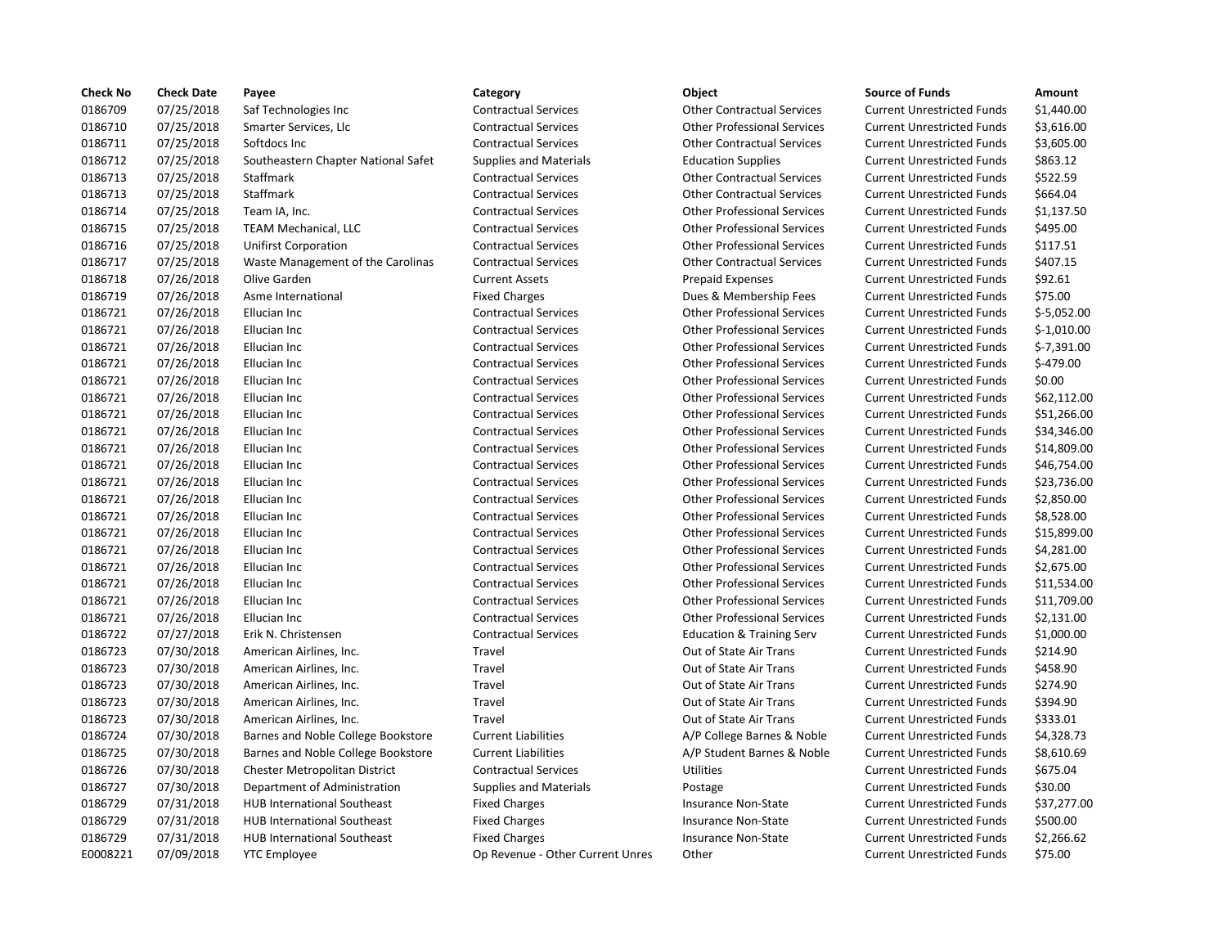| <b>Check No</b> | <b>Check Date</b> | Payee                               | Category                         | Object                               | <b>Source of Funds</b>            | Amount     |
|-----------------|-------------------|-------------------------------------|----------------------------------|--------------------------------------|-----------------------------------|------------|
| 0186709         | 07/25/2018        | Saf Technologies Inc                | <b>Contractual Services</b>      | <b>Other Contractual Services</b>    | <b>Current Unrestricted Funds</b> | \$1,440.0  |
| 0186710         | 07/25/2018        | Smarter Services, Llc               | <b>Contractual Services</b>      | <b>Other Professional Services</b>   | <b>Current Unrestricted Funds</b> | \$3,616.0  |
| 0186711         | 07/25/2018        | Softdocs Inc                        | <b>Contractual Services</b>      | <b>Other Contractual Services</b>    | <b>Current Unrestricted Funds</b> | \$3,605.0  |
| 0186712         | 07/25/2018        | Southeastern Chapter National Safet | Supplies and Materials           | <b>Education Supplies</b>            | <b>Current Unrestricted Funds</b> | \$863.12   |
| 0186713         | 07/25/2018        | <b>Staffmark</b>                    | <b>Contractual Services</b>      | <b>Other Contractual Services</b>    | <b>Current Unrestricted Funds</b> | \$522.59   |
| 0186713         | 07/25/2018        | Staffmark                           | <b>Contractual Services</b>      | <b>Other Contractual Services</b>    | <b>Current Unrestricted Funds</b> | \$664.04   |
| 0186714         | 07/25/2018        | Team IA, Inc.                       | <b>Contractual Services</b>      | <b>Other Professional Services</b>   | <b>Current Unrestricted Funds</b> | \$1,137.5  |
| 0186715         | 07/25/2018        | <b>TEAM Mechanical, LLC</b>         | <b>Contractual Services</b>      | <b>Other Professional Services</b>   | <b>Current Unrestricted Funds</b> | \$495.00   |
| 0186716         | 07/25/2018        | <b>Unifirst Corporation</b>         | <b>Contractual Services</b>      | <b>Other Professional Services</b>   | <b>Current Unrestricted Funds</b> | \$117.51   |
| 0186717         | 07/25/2018        | Waste Management of the Carolinas   | <b>Contractual Services</b>      | <b>Other Contractual Services</b>    | <b>Current Unrestricted Funds</b> | \$407.15   |
| 0186718         | 07/26/2018        | Olive Garden                        | <b>Current Assets</b>            | <b>Prepaid Expenses</b>              | <b>Current Unrestricted Funds</b> | \$92.61    |
| 0186719         | 07/26/2018        | Asme International                  | <b>Fixed Charges</b>             | Dues & Membership Fees               | <b>Current Unrestricted Funds</b> | \$75.00    |
| 0186721         | 07/26/2018        | Ellucian Inc                        | <b>Contractual Services</b>      | <b>Other Professional Services</b>   | <b>Current Unrestricted Funds</b> | $$-5,052.$ |
| 0186721         | 07/26/2018        | Ellucian Inc                        | <b>Contractual Services</b>      | <b>Other Professional Services</b>   | <b>Current Unrestricted Funds</b> | $$-1,010.$ |
| 0186721         | 07/26/2018        | Ellucian Inc                        | <b>Contractual Services</b>      | <b>Other Professional Services</b>   | <b>Current Unrestricted Funds</b> | $$-7,391.$ |
| 0186721         | 07/26/2018        | Ellucian Inc                        | <b>Contractual Services</b>      | <b>Other Professional Services</b>   | <b>Current Unrestricted Funds</b> | $$-479.00$ |
| 0186721         | 07/26/2018        | Ellucian Inc                        | <b>Contractual Services</b>      | <b>Other Professional Services</b>   | <b>Current Unrestricted Funds</b> | \$0.00     |
| 0186721         | 07/26/2018        | Ellucian Inc                        | <b>Contractual Services</b>      | <b>Other Professional Services</b>   | <b>Current Unrestricted Funds</b> | \$62,112   |
| 0186721         | 07/26/2018        | Ellucian Inc                        | <b>Contractual Services</b>      | <b>Other Professional Services</b>   | <b>Current Unrestricted Funds</b> | \$51,266   |
| 0186721         | 07/26/2018        | Ellucian Inc                        | <b>Contractual Services</b>      | <b>Other Professional Services</b>   | <b>Current Unrestricted Funds</b> | \$34,346   |
| 0186721         | 07/26/2018        | Ellucian Inc                        | <b>Contractual Services</b>      | <b>Other Professional Services</b>   | <b>Current Unrestricted Funds</b> | \$14,809   |
| 0186721         | 07/26/2018        | Ellucian Inc                        | <b>Contractual Services</b>      | <b>Other Professional Services</b>   | <b>Current Unrestricted Funds</b> | \$46,754   |
| 0186721         | 07/26/2018        | Ellucian Inc                        | <b>Contractual Services</b>      | <b>Other Professional Services</b>   | <b>Current Unrestricted Funds</b> | \$23,736   |
| 0186721         | 07/26/2018        | Ellucian Inc                        | <b>Contractual Services</b>      | <b>Other Professional Services</b>   | <b>Current Unrestricted Funds</b> | \$2,850.0  |
| 0186721         | 07/26/2018        | Ellucian Inc                        | <b>Contractual Services</b>      | <b>Other Professional Services</b>   | <b>Current Unrestricted Funds</b> | \$8,528.0  |
| 0186721         | 07/26/2018        | Ellucian Inc                        | <b>Contractual Services</b>      | <b>Other Professional Services</b>   | <b>Current Unrestricted Funds</b> | \$15,899   |
| 0186721         | 07/26/2018        | Ellucian Inc                        | <b>Contractual Services</b>      | <b>Other Professional Services</b>   | <b>Current Unrestricted Funds</b> | \$4,281.0  |
| 0186721         | 07/26/2018        | Ellucian Inc                        | <b>Contractual Services</b>      | <b>Other Professional Services</b>   | <b>Current Unrestricted Funds</b> | \$2,675.0  |
| 0186721         | 07/26/2018        | Ellucian Inc                        | <b>Contractual Services</b>      | <b>Other Professional Services</b>   | <b>Current Unrestricted Funds</b> | \$11,534   |
| 0186721         | 07/26/2018        | Ellucian Inc                        | <b>Contractual Services</b>      | <b>Other Professional Services</b>   | <b>Current Unrestricted Funds</b> | \$11,709   |
| 0186721         | 07/26/2018        | Ellucian Inc                        | <b>Contractual Services</b>      | <b>Other Professional Services</b>   | <b>Current Unrestricted Funds</b> | \$2,131.0  |
| 0186722         | 07/27/2018        | Erik N. Christensen                 | <b>Contractual Services</b>      | <b>Education &amp; Training Serv</b> | <b>Current Unrestricted Funds</b> | \$1,000.0  |
| 0186723         | 07/30/2018        | American Airlines, Inc.             | Travel                           | Out of State Air Trans               | <b>Current Unrestricted Funds</b> | \$214.90   |
| 0186723         | 07/30/2018        | American Airlines, Inc.             | Travel                           | Out of State Air Trans               | <b>Current Unrestricted Funds</b> | \$458.90   |
| 0186723         | 07/30/2018        | American Airlines, Inc.             | Travel                           | Out of State Air Trans               | <b>Current Unrestricted Funds</b> | \$274.90   |
| 0186723         | 07/30/2018        | American Airlines, Inc.             | Travel                           | Out of State Air Trans               | <b>Current Unrestricted Funds</b> | \$394.90   |
| 0186723         | 07/30/2018        | American Airlines, Inc.             | Travel                           | Out of State Air Trans               | <b>Current Unrestricted Funds</b> | \$333.01   |
| 0186724         | 07/30/2018        | Barnes and Noble College Bookstore  | <b>Current Liabilities</b>       | A/P College Barnes & Noble           | <b>Current Unrestricted Funds</b> | \$4,328.7  |
| 0186725         | 07/30/2018        | Barnes and Noble College Bookstore  | <b>Current Liabilities</b>       | A/P Student Barnes & Noble           | <b>Current Unrestricted Funds</b> | \$8,610.6  |
| 0186726         | 07/30/2018        | Chester Metropolitan District       | <b>Contractual Services</b>      | <b>Utilities</b>                     | <b>Current Unrestricted Funds</b> | \$675.04   |
| 0186727         | 07/30/2018        | Department of Administration        | <b>Supplies and Materials</b>    | Postage                              | <b>Current Unrestricted Funds</b> | \$30.00    |
| 0186729         | 07/31/2018        | <b>HUB International Southeast</b>  | <b>Fixed Charges</b>             | Insurance Non-State                  | <b>Current Unrestricted Funds</b> | \$37,277   |
| 0186729         | 07/31/2018        | <b>HUB International Southeast</b>  | <b>Fixed Charges</b>             | Insurance Non-State                  | <b>Current Unrestricted Funds</b> | \$500.00   |
| 0186729         | 07/31/2018        | <b>HUB International Southeast</b>  | <b>Fixed Charges</b>             | Insurance Non-State                  | <b>Current Unrestricted Funds</b> | \$2,266.6  |
| E0008221        | 07/09/2018        | <b>YTC Employee</b>                 | Op Revenue - Other Current Unres | Other                                | <b>Current Unrestricted Funds</b> | \$75.00    |
|                 |                   |                                     |                                  |                                      |                                   |            |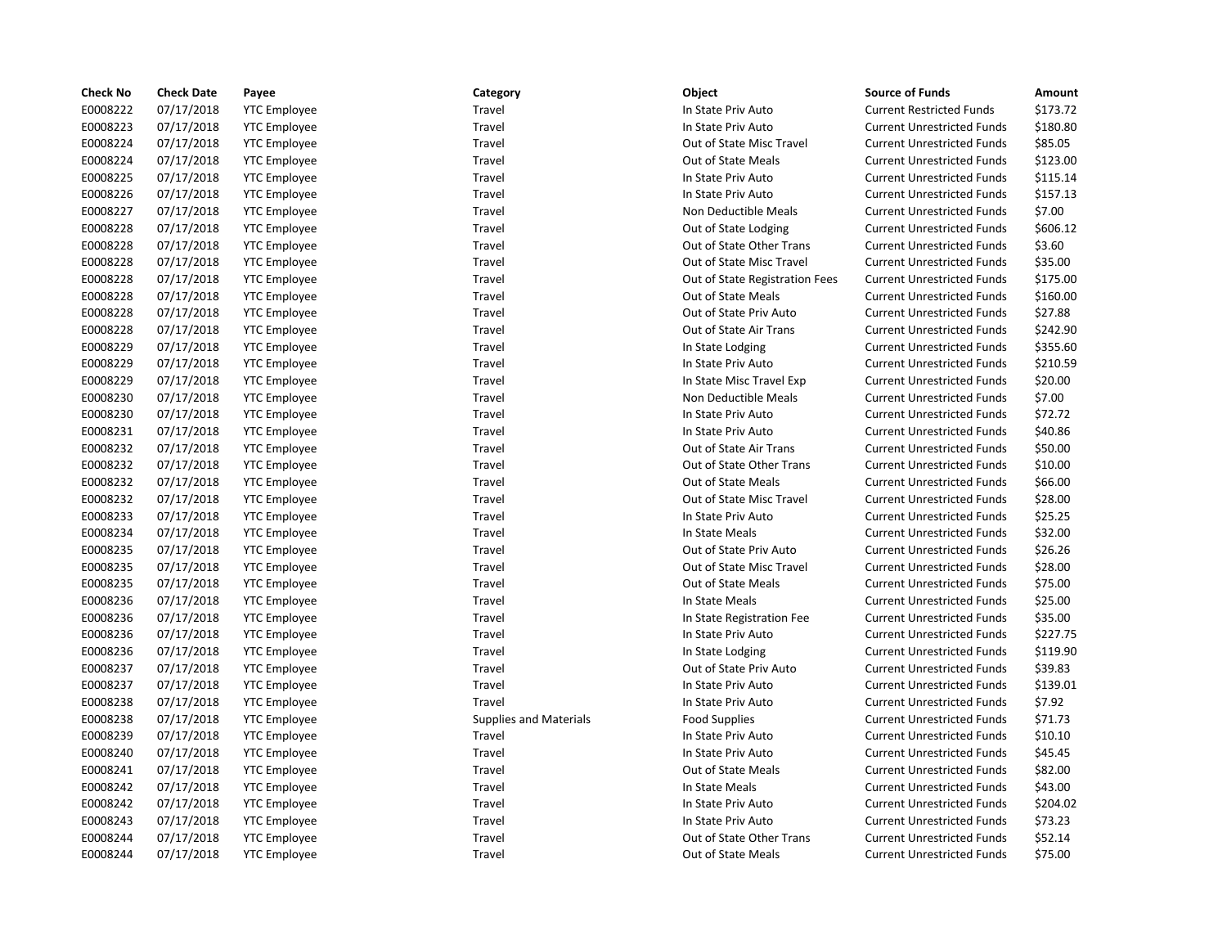| <b>Check No</b> | <b>Check Date</b> | Payee               | Category                      | Object                         | <b>Source of Funds</b>            | Amount   |
|-----------------|-------------------|---------------------|-------------------------------|--------------------------------|-----------------------------------|----------|
| E0008222        | 07/17/2018        | <b>YTC Employee</b> | Travel                        | In State Priv Auto             | <b>Current Restricted Funds</b>   | \$173.72 |
| E0008223        | 07/17/2018        | <b>YTC Employee</b> | Travel                        | In State Priv Auto             | <b>Current Unrestricted Funds</b> | \$180.80 |
| E0008224        | 07/17/2018        | <b>YTC</b> Employee | Travel                        | Out of State Misc Travel       | <b>Current Unrestricted Funds</b> | \$85.05  |
| E0008224        | 07/17/2018        | <b>YTC Employee</b> | Travel                        | Out of State Meals             | <b>Current Unrestricted Funds</b> | \$123.00 |
| E0008225        | 07/17/2018        | <b>YTC</b> Employee | Travel                        | In State Priv Auto             | <b>Current Unrestricted Funds</b> | \$115.14 |
| E0008226        | 07/17/2018        | <b>YTC Employee</b> | Travel                        | In State Priv Auto             | <b>Current Unrestricted Funds</b> | \$157.13 |
| E0008227        | 07/17/2018        | <b>YTC Employee</b> | Travel                        | Non Deductible Meals           | <b>Current Unrestricted Funds</b> | \$7.00   |
| E0008228        | 07/17/2018        | <b>YTC Employee</b> | Travel                        | Out of State Lodging           | <b>Current Unrestricted Funds</b> | \$606.12 |
| E0008228        | 07/17/2018        | <b>YTC Employee</b> | Travel                        | Out of State Other Trans       | <b>Current Unrestricted Funds</b> | \$3.60   |
| E0008228        | 07/17/2018        | <b>YTC Employee</b> | Travel                        | Out of State Misc Travel       | <b>Current Unrestricted Funds</b> | \$35.00  |
| E0008228        | 07/17/2018        | <b>YTC</b> Employee | Travel                        | Out of State Registration Fees | <b>Current Unrestricted Funds</b> | \$175.00 |
| E0008228        | 07/17/2018        | <b>YTC Employee</b> | Travel                        | Out of State Meals             | <b>Current Unrestricted Funds</b> | \$160.00 |
| E0008228        | 07/17/2018        | <b>YTC</b> Employee | Travel                        | Out of State Priv Auto         | <b>Current Unrestricted Funds</b> | \$27.88  |
| E0008228        | 07/17/2018        | <b>YTC Employee</b> | Travel                        | Out of State Air Trans         | <b>Current Unrestricted Funds</b> | \$242.90 |
| E0008229        | 07/17/2018        | <b>YTC Employee</b> | Travel                        | In State Lodging               | <b>Current Unrestricted Funds</b> | \$355.60 |
| E0008229        | 07/17/2018        | <b>YTC Employee</b> | Travel                        | In State Priv Auto             | <b>Current Unrestricted Funds</b> | \$210.59 |
| E0008229        | 07/17/2018        | <b>YTC Employee</b> | Travel                        | In State Misc Travel Exp       | <b>Current Unrestricted Funds</b> | \$20.00  |
| E0008230        | 07/17/2018        | <b>YTC Employee</b> | Travel                        | Non Deductible Meals           | <b>Current Unrestricted Funds</b> | \$7.00   |
| E0008230        | 07/17/2018        | <b>YTC</b> Employee | Travel                        | In State Priv Auto             | <b>Current Unrestricted Funds</b> | \$72.72  |
| E0008231        | 07/17/2018        | <b>YTC Employee</b> | Travel                        | In State Priv Auto             | <b>Current Unrestricted Funds</b> | \$40.86  |
| E0008232        | 07/17/2018        | <b>YTC</b> Employee | Travel                        | Out of State Air Trans         | <b>Current Unrestricted Funds</b> | \$50.00  |
| E0008232        | 07/17/2018        | <b>YTC Employee</b> | Travel                        | Out of State Other Trans       | <b>Current Unrestricted Funds</b> | \$10.00  |
| E0008232        | 07/17/2018        | <b>YTC Employee</b> | Travel                        | Out of State Meals             | <b>Current Unrestricted Funds</b> | \$66.00  |
| E0008232        | 07/17/2018        | <b>YTC Employee</b> | Travel                        | Out of State Misc Travel       | <b>Current Unrestricted Funds</b> | \$28.00  |
| E0008233        | 07/17/2018        | <b>YTC Employee</b> | Travel                        | In State Priv Auto             | <b>Current Unrestricted Funds</b> | \$25.25  |
| E0008234        | 07/17/2018        | <b>YTC Employee</b> | Travel                        | In State Meals                 | <b>Current Unrestricted Funds</b> | \$32.00  |
| E0008235        | 07/17/2018        | <b>YTC Employee</b> | Travel                        | Out of State Priv Auto         | <b>Current Unrestricted Funds</b> | \$26.26  |
| E0008235        | 07/17/2018        | <b>YTC Employee</b> | Travel                        | Out of State Misc Travel       | <b>Current Unrestricted Funds</b> | \$28.00  |
| E0008235        | 07/17/2018        | <b>YTC</b> Employee | Travel                        | Out of State Meals             | <b>Current Unrestricted Funds</b> | \$75.00  |
| E0008236        | 07/17/2018        | <b>YTC</b> Employee | Travel                        | In State Meals                 | <b>Current Unrestricted Funds</b> | \$25.00  |
| E0008236        | 07/17/2018        | <b>YTC</b> Employee | Travel                        | In State Registration Fee      | <b>Current Unrestricted Funds</b> | \$35.00  |
| E0008236        | 07/17/2018        | <b>YTC Employee</b> | Travel                        | In State Priv Auto             | <b>Current Unrestricted Funds</b> | \$227.75 |
| E0008236        | 07/17/2018        | <b>YTC Employee</b> | Travel                        | In State Lodging               | <b>Current Unrestricted Funds</b> | \$119.90 |
| E0008237        | 07/17/2018        | <b>YTC Employee</b> | Travel                        | Out of State Priv Auto         | <b>Current Unrestricted Funds</b> | \$39.83  |
| E0008237        | 07/17/2018        | <b>YTC Employee</b> | Travel                        | In State Priv Auto             | <b>Current Unrestricted Funds</b> | \$139.01 |
| E0008238        | 07/17/2018        | <b>YTC Employee</b> | Travel                        | In State Priv Auto             | <b>Current Unrestricted Funds</b> | \$7.92   |
| E0008238        | 07/17/2018        | <b>YTC</b> Employee | <b>Supplies and Materials</b> | <b>Food Supplies</b>           | <b>Current Unrestricted Funds</b> | \$71.73  |
| E0008239        | 07/17/2018        | <b>YTC</b> Employee | Travel                        | In State Priv Auto             | <b>Current Unrestricted Funds</b> | \$10.10  |
| E0008240        | 07/17/2018        | <b>YTC</b> Employee | Travel                        | In State Priv Auto             | <b>Current Unrestricted Funds</b> | \$45.45  |
| E0008241        | 07/17/2018        | <b>YTC Employee</b> | Travel                        | Out of State Meals             | <b>Current Unrestricted Funds</b> | \$82.00  |
| E0008242        | 07/17/2018        | <b>YTC Employee</b> | Travel                        | In State Meals                 | <b>Current Unrestricted Funds</b> | \$43.00  |
| E0008242        | 07/17/2018        | <b>YTC Employee</b> | Travel                        | In State Priv Auto             | <b>Current Unrestricted Funds</b> | \$204.02 |
| E0008243        | 07/17/2018        | <b>YTC Employee</b> | Travel                        | In State Priv Auto             | <b>Current Unrestricted Funds</b> | \$73.23  |
| E0008244        | 07/17/2018        | <b>YTC Employee</b> | Travel                        | Out of State Other Trans       | <b>Current Unrestricted Funds</b> | \$52.14  |
| E0008244        | 07/17/2018        | <b>YTC</b> Employee | Travel                        | Out of State Meals             | <b>Current Unrestricted Funds</b> | \$75.00  |